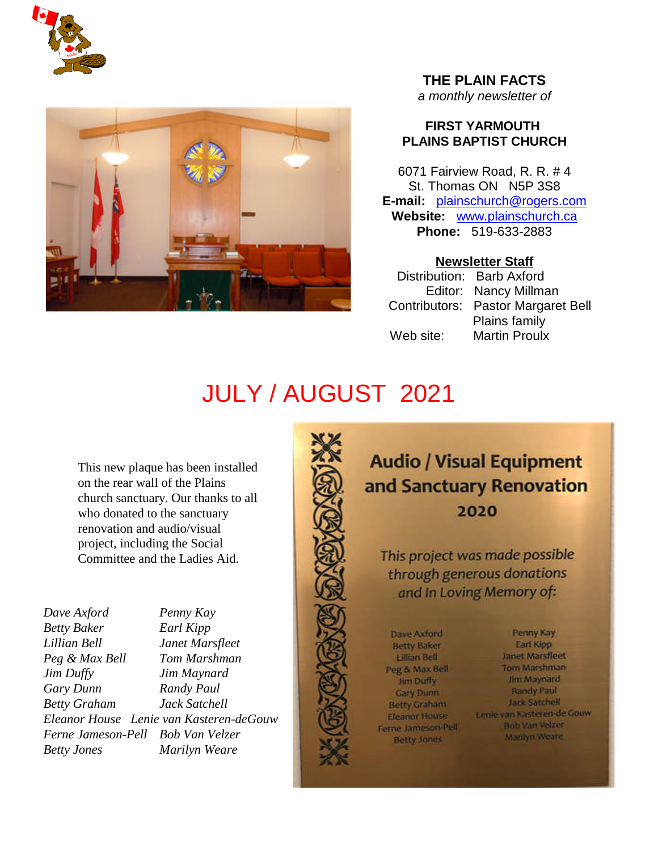



# **THE PLAIN FACTS** *a monthly newsletter of*

# **FIRST YARMOUTH PLAINS BAPTIST CHURCH**

6071 Fairview Road, R. R. # 4 St. Thomas ON N5P 3S8 **E-mail:** plainschurch@rogers.com **Website:** www.plainschurch.ca **Phone:** 519-633-2883

# **Newsletter Staff**

Distribution: Barb Axford Editor: Nancy Millman Contributors: Pastor Margaret Bell Plains family Web site: Martin Proulx

# JULY / AUGUST 2021

This new plaque has been installed on the rear wall of the Plains church sanctuary. Our thanks to all who donated to the sanctuary renovation and audio/visual project, including the Social Committee and the Ladies Aid.

| Penny Kay                               |
|-----------------------------------------|
| Earl Kipp                               |
| Janet Marsfleet                         |
| Tom Marshman                            |
| Jim Maynard                             |
| Randy Paul                              |
| Jack Satchell                           |
| Eleanor House Lenie van Kasteren-deGouw |
| Ferne Jameson-Pell Bob Van Velzer       |
| Marilyn Weare                           |
|                                         |



**Audio / Visual Equipment** and Sanctuary Renovation 2020

This project was made possible through generous donations and In Loving Memory of:

Dave Axford **Betty Baker Lillian Bell** Peg & Max Bell Jim Duffy **Gary Dunn Betty Graham** Eleanor House Ferne Jameson-Pell **Betty Jones** 

Penny Kay Earl Kipp **Janet Marsfleet** Tom Marshman Jim Maynard Randy Paul Jack Satchell Lenie van Kasteren-de Gouw **Bob Van Velzer** Marilyn Wearn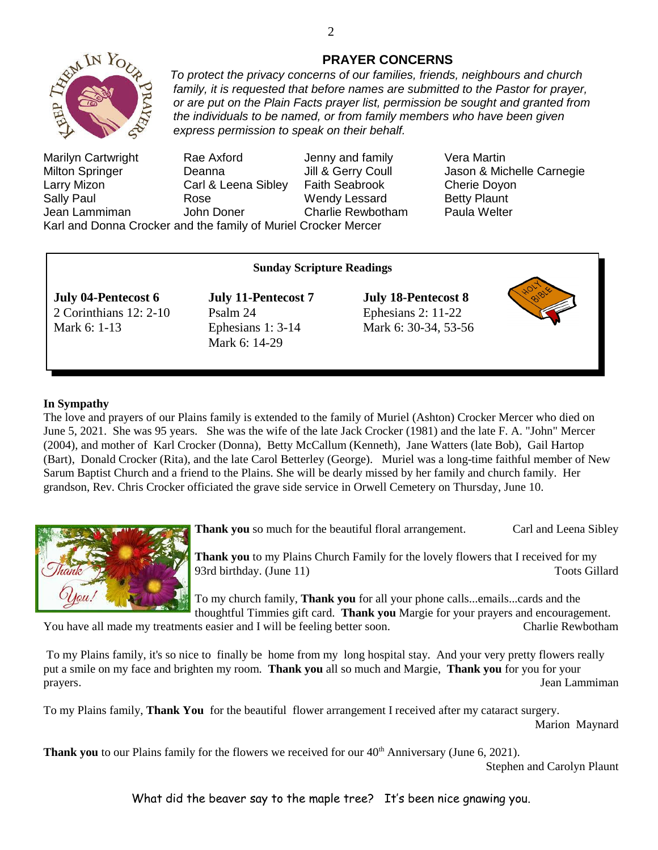

Marilyn Cartwright Rae Axford Jenny and family Vera Martin Milton Springer **Deanna** Jill & Gerry Coull Jason & Michelle Carnegie Larry Mizon Carl & Leena Sibley Faith Seabrook Cherie Doyon Sally Paul **Rose** Rose Nendy Lessard Betty Plaunt<br>
Jean Lammiman John Doner Charlie Rewbotham Paula Welter Jean Lammiman John Doner Charlie Rewbotham

**PRAYER CONCERNS** *To protect the privacy concerns of our families, friends, neighbours and church family, it is requested that before names are submitted to the Pastor for prayer, or are put on the Plain Facts prayer list, permission be sought and granted from the individuals to be named, or from family members who have been given*

Karl and Donna Crocker and the family of Muriel Crocker Mercer

# **Sunday Scripture Readings**

*express permission to speak on their behalf.*

**July 04-Pentecost 6 July 11-Pentecost 7 July 18-Pentecost 8** 2 Corinthians 12: 2-10 Psalm 24 Ephesians 2: 11-22 Mark 6: 1-13 Ephesians 1: 3-14 Mark 6: 30-34, 53-56

Mark 6: 14-29



### **In Sympathy**

The love and prayers of our Plains family is extended to the family of Muriel (Ashton) Crocker Mercer who died on June 5, 2021. She was 95 years. She was the wife of the late Jack Crocker (1981) and the late F. A. "John" Mercer (2004), and mother of Karl Crocker (Donna), Betty McCallum (Kenneth), Jane Watters (late Bob), Gail Hartop (Bart), Donald Crocker (Rita), and the late Carol Betterley (George). Muriel was a long-time faithful member of New Sarum Baptist Church and a friend to the Plains. She will be dearly missed by her family and church family. Her grandson, Rev. Chris Crocker officiated the grave side service in Orwell Cemetery on Thursday, June 10.



**Thank you** so much for the beautiful floral arrangement. Carl and Leena Sibley

**Thank you** to my Plains Church Family for the lovely flowers that I received for my 93rd birthday. (June 11) Toots Gillard

To my church family, **Thank you** for all your phone calls...emails...cards and the thoughtful Timmies gift card. **Thank you** Margie for your prayers and encouragement.

You have all made my treatments easier and I will be feeling better soon. Charlie Rewbotham

To my Plains family, it's so nice to finally be home from my long hospital stay. And your very pretty flowers really put a smile on my face and brighten my room. **Thank you** all so much and Margie, **Thank you** for you for your prayers. Jean Lammiman

To my Plains family, **Thank You** for the beautiful flower arrangement I received after my cataract surgery. Marion Maynard

**Thank you** to our Plains family for the flowers we received for our 40<sup>th</sup> Anniversary (June 6, 2021).

Stephen and Carolyn Plaunt

What did the beaver say to the maple tree? It's been nice gnawing you.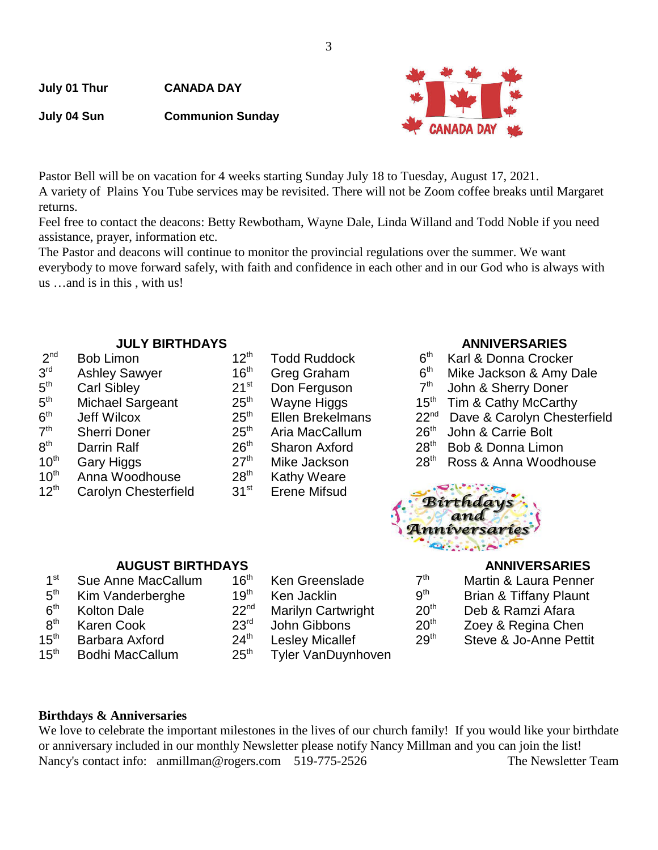**July 01 Thur CANADA DAY**

**July 04 Sun Communion Sunday**

Pastor Bell will be on vacation for 4 weeks starting Sunday July 18 to Tuesday, August 17, 2021.

A variety of Plains You Tube services may be revisited. There will not be Zoom coffee breaks until Margaret returns.

Feel free to contact the deacons: Betty Rewbotham, Wayne Dale, Linda Willand and Todd Noble if you need assistance, prayer, information etc.

The Pastor and deacons will continue to monitor the provincial regulations over the summer. We want everybody to move forward safely, with faith and confidence in each other and in our God who is always with us …and is in this , with us!

- $2<sup>nd</sup>$  $3<sup>rd</sup>$  $5^{\mathsf{th}}$  $5<sup>th</sup>$  $6<sup>th</sup>$  $7<sup>th</sup>$  $8<sup>th</sup>$  $10<sup>th</sup>$  Anna Woodhouse  $28<sup>th</sup>$  Kathy Weare  $12<sup>th</sup>$  Carolyn Chesterfield  $31<sup>st</sup>$  Erene Mifsud
- **JULY BIRTHDAYS ANNIVERSARIES** Carl Sibley 21<sup>st</sup> Don Ferguson 7<sup>th</sup> John & Sherry Doner<br>Michael Sargeant 25<sup>th</sup> Wavne Higgs 25<sup>th</sup> Tim & Cathy McCarth th Sherri Doner 25th Aria MacCallum 26th John & Carrie Bolt

- Bob Limon **12<sup>th</sup>** Todd Ruddock 6<sup>th</sup> Karl & Donna Crocker
- Ashley Sawyer  $16<sup>th</sup>$  Greg Graham  $6<sup>th</sup>$  Mike Jackson & Amy Dale
	-
- Michael Sargeant 25<sup>th</sup> Wayne Higgs 15<sup>th</sup> Tim & Cathy McCarthy
- Jeff Wilcox 25<sup>th</sup> Ellen Brekelmans 22<sup>nd</sup> Dave & Carolyn Chesterfield
	-
- Darrin Ralf 26<sup>th</sup> Sharon Axford 28<sup>th</sup> Bob & Donna Limon
- $10<sup>th</sup>$  Gary Higgs  $27<sup>th</sup>$  Mike Jackson  $28<sup>th</sup>$  Ross & Anna Woodhouse



- $1<sup>st</sup>$ Sue Anne MacCallum 16<sup>th</sup> Ken Greenslade<br>Kim Vanderberghe 19<sup>th</sup> Ken Jacklin  $5<sup>th</sup>$ Kim Vanderberghe 19<sup>th</sup> Ken Jacklin 9th Brian 9th Brian Brian Brian & Tiffani<br>19th Brian Brian Brian Brian Brian Brian Brian Brian Brian Brian Brian Brian Brian Brian Brian Brian Brian Bri  $6<sup>th</sup>$ Kolton Dale 22<sup>nd</sup> Marilyn Cartwright 2<br>
23<sup>rd</sup> John Gibbons 23<sup>rd</sup> Afaram  $8<sup>th</sup>$ Karen Cook  $23<sup>rd</sup>$  John Gibbons 15<sup>th</sup> Barbara Axford  $24<sup>th</sup>$  Leslev Micallef 2 15<sup>th</sup> Bodhi MacCallum 25<sup>th</sup> Tyler VanDuynhoven
	-
	-

| <b>AUGUST BIRTHDAYS</b> | <b>ANNIVERSARIES</b> |                           |                  |                                   |
|-------------------------|----------------------|---------------------------|------------------|-----------------------------------|
| าne MacCallum           | $16^{\text{th}}$     | Ken Greenslade            | 7 <sup>th</sup>  | Martin & Laura Penner             |
| anderberghe             | 19 <sup>th</sup>     | Ken Jacklin               | g <sup>th</sup>  | <b>Brian &amp; Tiffany Plaunt</b> |
| Dale                    | 22 <sup>nd</sup>     | <b>Marilyn Cartwright</b> | 20 <sup>th</sup> | Deb & Ramzi Afara                 |
| Cook                    | 23 <sup>rd</sup>     | John Gibbons              | 20 <sup>th</sup> | Zoey & Regina Chen                |
| a Axford                | $24^{\text{th}}$     | <b>Lesley Micallef</b>    | 29 <sup>th</sup> | Steve & Jo-Anne Pettit            |

# **Birthdays & Anniversaries**

We love to celebrate the important milestones in the lives of our church family! If you would like your birthdate or anniversary included in our monthly Newsletter please notify Nancy Millman and you can join the list! Nancy's contact info: anmillman@rogers.com 519-775-2526 The Newsletter Team

3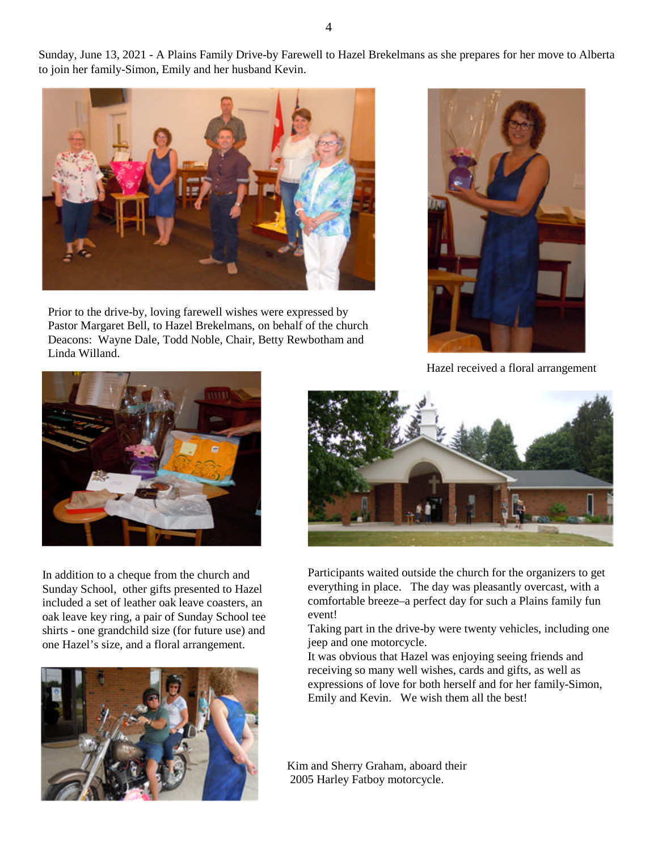Sunday, June 13, 2021 - A Plains Family Drive-by Farewell to Hazel Brekelmans as she prepares for her move to Alberta to join her family-Simon, Emily and her husband Kevin.



Prior to the drive-by, loving farewell wishes were expressed by Pastor Margaret Bell, to Hazel Brekelmans, on behalf of the church Deacons: Wayne Dale, Todd Noble, Chair, Betty Rewbotham and Linda Willand.



Hazel received a floral arrangement



In addition to a cheque from the church and Sunday School, other gifts presented to Hazel included a set of leather oak leave coasters, an oak leave key ring, a pair of Sunday School tee shirts - one grandchild size (for future use) and one Hazel's size, and a floral arrangement.





Participants waited outside the church for the organizers to get everything in place. The day was pleasantly overcast, with a comfortable breeze–a perfect day for such a Plains family fun event!

Taking part in the drive-by were twenty vehicles, including one jeep and one motorcycle.

It was obvious that Hazel was enjoying seeing friends and receiving so many well wishes, cards and gifts, as well as expressions of love for both herself and for her family-Simon, Emily and Kevin. We wish them all the best!

Kim and Sherry Graham, aboard their 2005 Harley Fatboy motorcycle.

4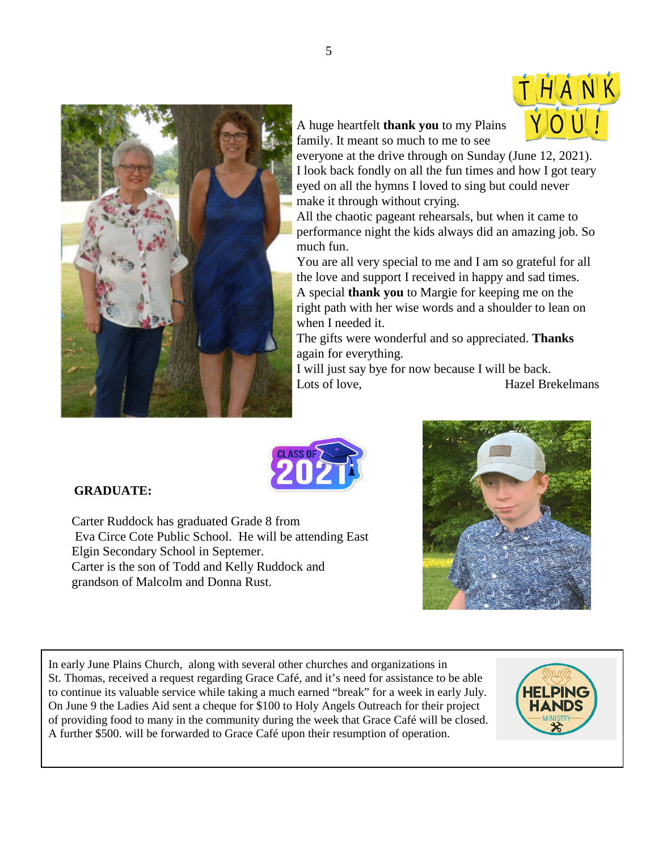



A huge heartfelt **thank you** to my Plains family. It meant so much to me to see

everyone at the drive through on Sunday (June 12, 2021). I look back fondly on all the fun times and how I got teary eyed on all the hymns I loved to sing but could never make it through without crying.

All the chaotic pageant rehearsals, but when it came to performance night the kids always did an amazing job. So much fun.

You are all very special to me and I am so grateful for all the love and support I received in happy and sad times. A special **thank you** to Margie for keeping me on the right path with her wise words and a shoulder to lean on when I needed it.

The gifts were wonderful and so appreciated. **Thanks** again for everything.

I will just say bye for now because I will be back. Lots of love, **Hazel Brekelmans** 



# **GRADUATE:**

Carter Ruddock has graduated Grade 8 from Eva Circe Cote Public School. He will be attending East Elgin Secondary School in Septemer. Carter is the son of Todd and Kelly Ruddock and grandson of Malcolm and Donna Rust.



In early June Plains Church, along with several other churches and organizations in St. Thomas, received a request regarding Grace Café, and it's need for assistance to be able to continue its valuable service while taking a much earned "break" for a week in early July. On June 9 the Ladies Aid sent a cheque for \$100 to Holy Angels Outreach for their project of providing food to many in the community during the week that Grace Café will be closed. A further \$500. will be forwarded to Grace Café upon their resumption of operation.

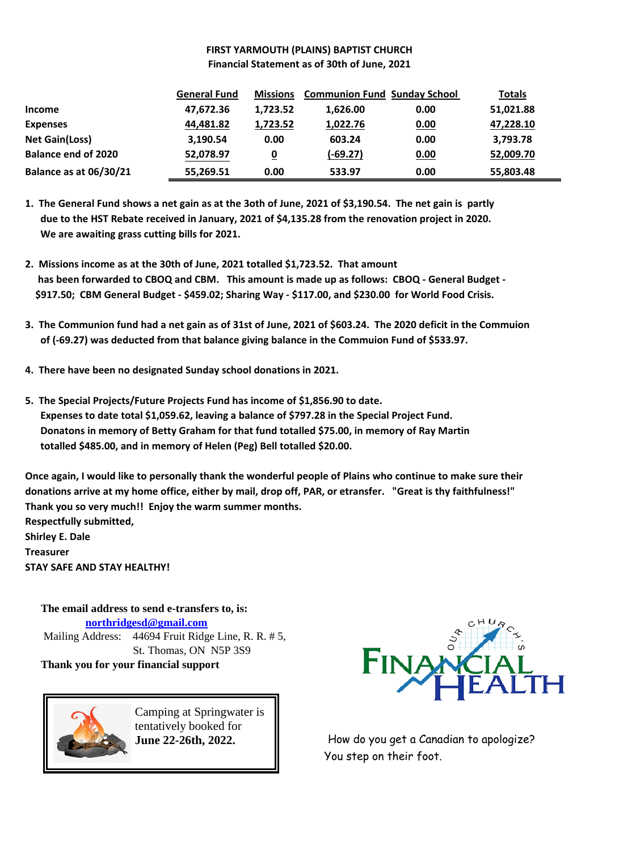# **FIRST YARMOUTH (PLAINS) BAPTIST CHURCH Financial Statement as of 30th of June, 2021**

|                               | <b>General Fund</b> | <b>Missions</b> | <b>Communion Fund Sunday School</b> |      | <b>Totals</b> |
|-------------------------------|---------------------|-----------------|-------------------------------------|------|---------------|
| <b>Income</b>                 | 47,672.36           | 1.723.52        | 1,626.00                            | 0.00 | 51,021.88     |
| <b>Expenses</b>               | 44,481.82           | 1,723.52        | 1,022.76                            | 0.00 | 47,228.10     |
| <b>Net Gain(Loss)</b>         | 3,190.54            | 0.00            | 603.24                              | 0.00 | 3,793.78      |
| <b>Balance end of 2020</b>    | 52,078.97           | <u>0</u>        | $(-69.27)$                          | 0.00 | 52,009.70     |
| <b>Balance as at 06/30/21</b> | 55,269.51           | 0.00            | 533.97                              | 0.00 | 55,803.48     |

**1. The General Fund shows a net gain as at the 3oth of June, 2021 of \$3,190.54. The net gain is partly due to the HST Rebate received in January, 2021 of \$4,135.28 from the renovation project in 2020. We are awaiting grass cutting bills for 2021.**

- **2. Missions income as at the 30th of June, 2021 totalled \$1,723.52. That amount has been forwarded to CBOQ and CBM. This amount is made up as follows: CBOQ - General Budget - \$917.50; CBM General Budget - \$459.02; Sharing Way - \$117.00, and \$230.00 for World Food Crisis.**
- **3. The Communion fund had a net gain as of 31st of June, 2021 of \$603.24. The 2020 deficit in the Commuion of (-69.27) was deducted from that balance giving balance in the Commuion Fund of \$533.97.**
- **4. There have been no designated Sunday school donations in 2021.**
- **5. The Special Projects/Future Projects Fund has income of \$1,856.90 to date. Expenses to date total \$1,059.62, leaving a balance of \$797.28 in the Special Project Fund. Donatons in memory of Betty Graham for that fund totalled \$75.00, in memory of Ray Martin totalled \$485.00, and in memory of Helen (Peg) Bell totalled \$20.00.**

**Once again, I would like to personally thank the wonderful people of Plains who continue to make sure their donations arrive at my home office, either by mail, drop off, PAR, or etransfer. "Great is thy faithfulness!" Thank you so very much!! Enjoy the warm summer months. Respectfully submitted,**

**Shirley E. Dale Treasurer STAY SAFE AND STAY HEALTHY!**

**The email address to send e-transfers to, is: northridgesd@gmail.com** Mailing Address: 44694 Fruit Ridge Line, R. R. # 5, St. Thomas, ON N5P 3S9 **Thank you for your financial support**



Camping at Springwater is tentatively booked for **June 22-26th, 2022.**



How do you get a Canadian to apologize? You step on their foot.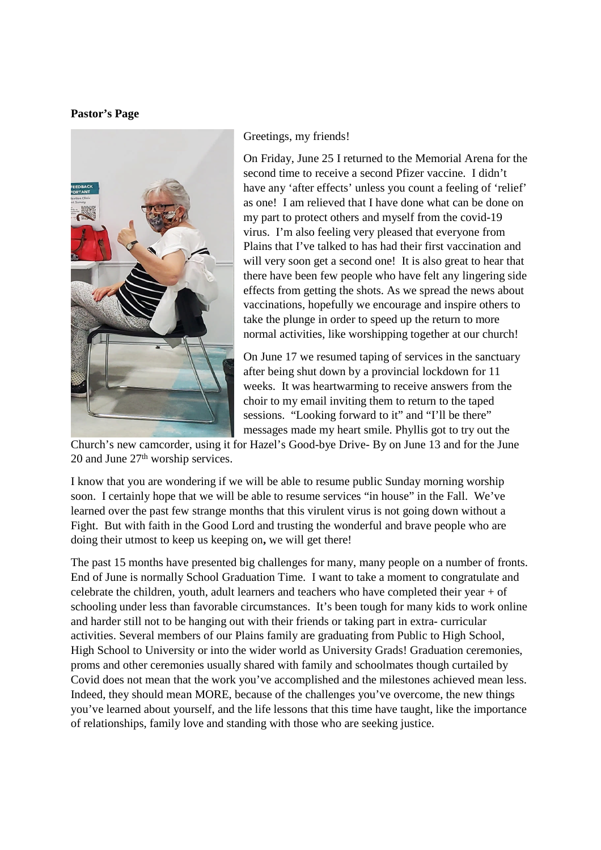### **Pastor's Page**



### Greetings, my friends!

On Friday, June 25 I returned to the Memorial Arena for the second time to receive a second Pfizer vaccine. I didn't have any 'after effects' unless you count a feeling of 'relief' as one! I am relieved that I have done what can be done on my part to protect others and myself from the covid-19 virus. I'm also feeling very pleased that everyone from Plains that I've talked to has had their first vaccination and will very soon get a second one! It is also great to hear that there have been few people who have felt any lingering side effects from getting the shots. As we spread the news about vaccinations, hopefully we encourage and inspire others to take the plunge in order to speed up the return to more normal activities, like worshipping together at our church!

On June 17 we resumed taping of services in the sanctuary after being shut down by a provincial lockdown for 11 weeks. It was heartwarming to receive answers from the choir to my email inviting them to return to the taped sessions. "Looking forward to it" and "I'll be there" messages made my heart smile. Phyllis got to try out the

Church's new camcorder, using it for Hazel's Good-bye Drive- By on June 13 and for the June 20 and June  $27<sup>th</sup>$  worship services.

I know that you are wondering if we will be able to resume public Sunday morning worship soon. I certainly hope that we will be able to resume services "in house" in the Fall. We've learned over the past few strange months that this virulent virus is not going down without a Fight. But with faith in the Good Lord and trusting the wonderful and brave people who are doing their utmost to keep us keeping on**,** we will get there!

The past 15 months have presented big challenges for many, many people on a number of fronts. End of June is normally School Graduation Time. I want to take a moment to congratulate and celebrate the children, youth, adult learners and teachers who have completed their year + of schooling under less than favorable circumstances. It's been tough for many kids to work online and harder still not to be hanging out with their friends or taking part in extra- curricular activities. Several members of our Plains family are graduating from Public to High School, High School to University or into the wider world as University Grads! Graduation ceremonies, proms and other ceremonies usually shared with family and schoolmates though curtailed by Covid does not mean that the work you've accomplished and the milestones achieved mean less. Indeed, they should mean MORE, because of the challenges you've overcome, the new things you've learned about yourself, and the life lessons that this time have taught, like the importance of relationships, family love and standing with those who are seeking justice.